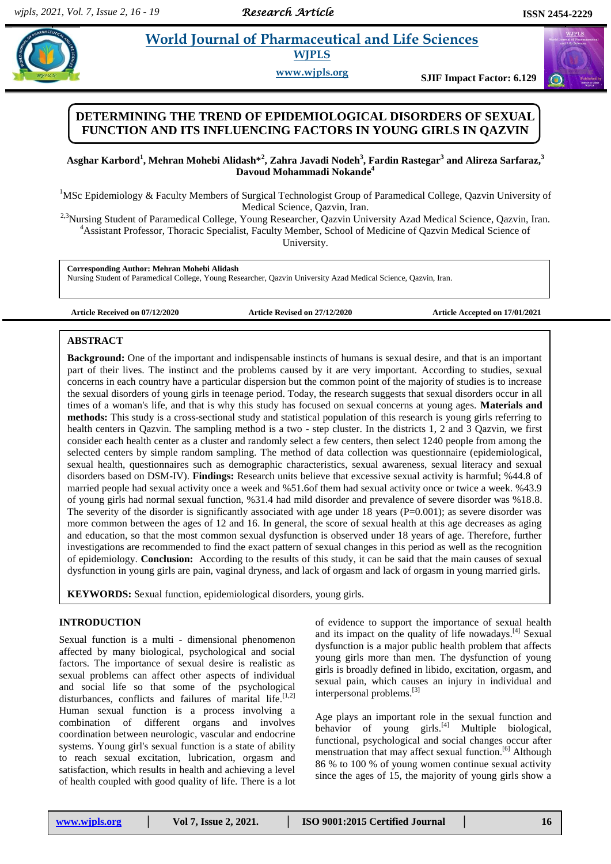# *Research Article*

# **Property and** *Eife Sciences* **WJPLS**

**www.wjpls.org SJIF Impact Factor: 6.129**

# **DETERMINING THE TREND OF EPIDEMIOLOGICAL DISORDERS OF SEXUAL FUNCTION AND ITS INFLUENCING FACTORS IN YOUNG GIRLS IN QAZVIN**

**Asghar Karbord<sup>1</sup> , Mehran Mohebi Alidash\*<sup>2</sup> , Zahra Javadi Nodeh<sup>3</sup> , Fardin Rastegar<sup>3</sup> and Alireza Sarfaraz, 3 Davoud Mohammadi Nokande<sup>4</sup>**

<sup>1</sup>MSc Epidemiology & Faculty Members of Surgical Technologist Group of Paramedical College, Qazvin University of Medical Science, Qazvin, Iran.

<sup>2,3</sup>Nursing Student of Paramedical College, Young Researcher, Qazvin University Azad Medical Science, Qazvin, Iran. <sup>4</sup>Assistant Professor, Thoracic Specialist, Faculty Member, School of Medicine of Qazvin Medical Science of University.

**Corresponding Author: Mehran Mohebi Alidash**

Nursing Student of Paramedical College, Young Researcher, Qazvin University Azad Medical Science, Qazvin, Iran.

**Article Received on 07/12/2020 Article Revised on 27/12/2020 Article Accepted on 17/01/2021**

## **ABSTRACT**

**Background:** One of the important and indispensable instincts of humans is sexual desire, and that is an important part of their lives. The instinct and the problems caused by it are very important. According to studies, sexual concerns in each country have a particular dispersion but the common point of the majority of studies is to increase the sexual disorders of young girls in teenage period. Today, the research suggests that sexual disorders occur in all times of a woman's life, and that is why this study has focused on sexual concerns at young ages. **Materials and methods:** This study is a cross-sectional study and statistical population of this research is young girls referring to health centers in Qazvin. The sampling method is a two - step cluster. In the districts 1, 2 and 3 Qazvin, we first consider each health center as a cluster and randomly select a few centers, then select 1240 people from among the selected centers by simple random sampling. The method of data collection was questionnaire (epidemiological, sexual health, questionnaires such as demographic characteristics, sexual awareness, sexual literacy and sexual disorders based on DSM-IV). **Findings:** Research units believe that excessive sexual activity is harmful; %44.8 of married people had sexual activity once a week and %51.6of them had sexual activity once or twice a week. %43.9 of young girls had normal sexual function, %31.4 had mild disorder and prevalence of severe disorder was %18.8. The severity of the disorder is significantly associated with age under 18 years ( $P=0.001$ ); as severe disorder was more common between the ages of 12 and 16. In general, the score of sexual health at this age decreases as aging and education, so that the most common sexual dysfunction is observed under 18 years of age. Therefore, further investigations are recommended to find the exact pattern of sexual changes in this period as well as the recognition of epidemiology. **Conclusion:** According to the results of this study, it can be said that the main causes of sexual dysfunction in young girls are pain, vaginal dryness, and lack of orgasm and lack of orgasm in young married girls.

**KEYWORDS:** Sexual function, epidemiological disorders, young girls.

## **INTRODUCTION**

Sexual function is a multi - dimensional phenomenon affected by many biological, psychological and social factors. The importance of sexual desire is realistic as sexual problems can affect other aspects of individual and social life so that some of the psychological disturbances, conflicts and failures of marital life.<sup>[1,2]</sup> Human sexual function is a process involving a combination of different organs and involves coordination between neurologic, vascular and endocrine systems. Young girl's sexual function is a state of ability to reach sexual excitation, lubrication, orgasm and satisfaction, which results in health and achieving a level of health coupled with good quality of life. There is a lot of evidence to support the importance of sexual health and its impact on the quality of life nowadays.<sup>[4]</sup> Sexual dysfunction is a major public health problem that affects young girls more than men. The dysfunction of young girls is broadly defined in libido, excitation, orgasm, and sexual pain, which causes an injury in individual and interpersonal problems. [3]

Age plays an important role in the sexual function and behavior of young girls. $^{[4]}$  Multiple biological, functional, psychological and social changes occur after menstruation that may affect sexual function. [6] Although 86 % to 100 % of young women continue sexual activity since the ages of 15, the majority of young girls show a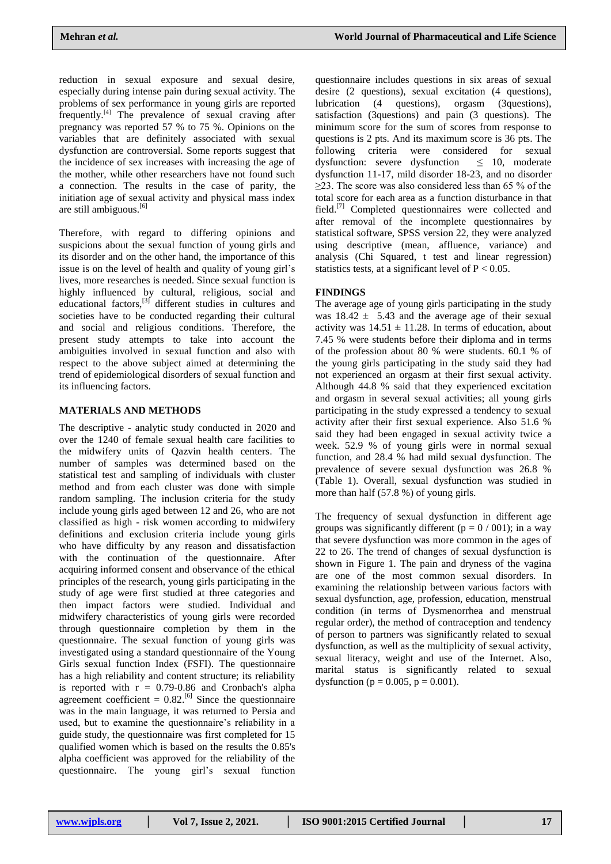reduction in sexual exposure and sexual desire, especially during intense pain during sexual activity. The problems of sex performance in young girls are reported frequently. $[4]$  The prevalence of sexual craving after pregnancy was reported 57 % to 75 %. Opinions on the variables that are definitely associated with sexual dysfunction are controversial. Some reports suggest that the incidence of sex increases with increasing the age of the mother, while other researchers have not found such a connection. The results in the case of parity, the initiation age of sexual activity and physical mass index are still ambiguous. [6]

Therefore, with regard to differing opinions and suspicions about the sexual function of young girls and its disorder and on the other hand, the importance of this issue is on the level of health and quality of young girl's lives, more researches is needed. Since sexual function is highly influenced by cultural, religious, social and educational factors,<sup>[3]</sup> different studies in cultures and societies have to be conducted regarding their cultural and social and religious conditions. Therefore, the present study attempts to take into account the ambiguities involved in sexual function and also with respect to the above subject aimed at determining the trend of epidemiological disorders of sexual function and its influencing factors.

### **MATERIALS AND METHODS**

The descriptive - analytic study conducted in 2020 and over the 1240 of female sexual health care facilities to the midwifery units of Qazvin health centers. The number of samples was determined based on the statistical test and sampling of individuals with cluster method and from each cluster was done with simple random sampling. The inclusion criteria for the study include young girls aged between 12 and 26, who are not classified as high - risk women according to midwifery definitions and exclusion criteria include young girls who have difficulty by any reason and dissatisfaction with the continuation of the questionnaire. After acquiring informed consent and observance of the ethical principles of the research, young girls participating in the study of age were first studied at three categories and then impact factors were studied. Individual and midwifery characteristics of young girls were recorded through questionnaire completion by them in the questionnaire. The sexual function of young girls was investigated using a standard questionnaire of the Young Girls sexual function Index (FSFI). The questionnaire has a high reliability and content structure; its reliability is reported with  $r = 0.79 - 0.86$  and Cronbach's alpha agreement coefficient =  $0.82$ .<sup>[6]</sup> Since the questionnaire was in the main language, it was returned to Persia and used, but to examine the questionnaire's reliability in a guide study, the questionnaire was first completed for 15 qualified women which is based on the results the 0.85's alpha coefficient was approved for the reliability of the questionnaire. The young girl's sexual function

questionnaire includes questions in six areas of sexual desire (2 questions), sexual excitation (4 questions), lubrication (4 questions), orgasm (3questions), satisfaction (3questions) and pain (3 questions). The minimum score for the sum of scores from response to questions is 2 pts. And its maximum score is 36 pts. The following criteria were considered for sexual dysfunction: severe dysfunction  $\leq$  10, moderate dysfunction: severe dysfunction dysfunction 11-17, mild disorder 18-23, and no disorder  $\geq$ 23. The score was also considered less than 65 % of the total score for each area as a function disturbance in that field.[7] Completed questionnaires were collected and after removal of the incomplete questionnaires by statistical software, SPSS version 22, they were analyzed using descriptive (mean, affluence, variance) and analysis (Chi Squared, t test and linear regression) statistics tests, at a significant level of  $P < 0.05$ .

# **FINDINGS**

The average age of young girls participating in the study was  $18.42 \pm 5.43$  and the average age of their sexual activity was  $14.51 \pm 11.28$ . In terms of education, about 7.45 % were students before their diploma and in terms of the profession about 80 % were students. 60.1 % of the young girls participating in the study said they had not experienced an orgasm at their first sexual activity. Although 44.8 % said that they experienced excitation and orgasm in several sexual activities; all young girls participating in the study expressed a tendency to sexual activity after their first sexual experience. Also 51.6 % said they had been engaged in sexual activity twice a week. 52.9 % of young girls were in normal sexual function, and 28.4 % had mild sexual dysfunction. The prevalence of severe sexual dysfunction was 26.8 % (Table 1). Overall, sexual dysfunction was studied in more than half (57.8 %) of young girls.

The frequency of sexual dysfunction in different age groups was significantly different ( $p = 0/001$ ); in a way that severe dysfunction was more common in the ages of 22 to 26. The trend of changes of sexual dysfunction is shown in Figure 1. The pain and dryness of the vagina are one of the most common sexual disorders. In examining the relationship between various factors with sexual dysfunction, age, profession, education, menstrual condition (in terms of Dysmenorrhea and menstrual regular order), the method of contraception and tendency of person to partners was significantly related to sexual dysfunction, as well as the multiplicity of sexual activity, sexual literacy, weight and use of the Internet. Also, marital status is significantly related to sexual dysfunction ( $p = 0.005$ ,  $p = 0.001$ ).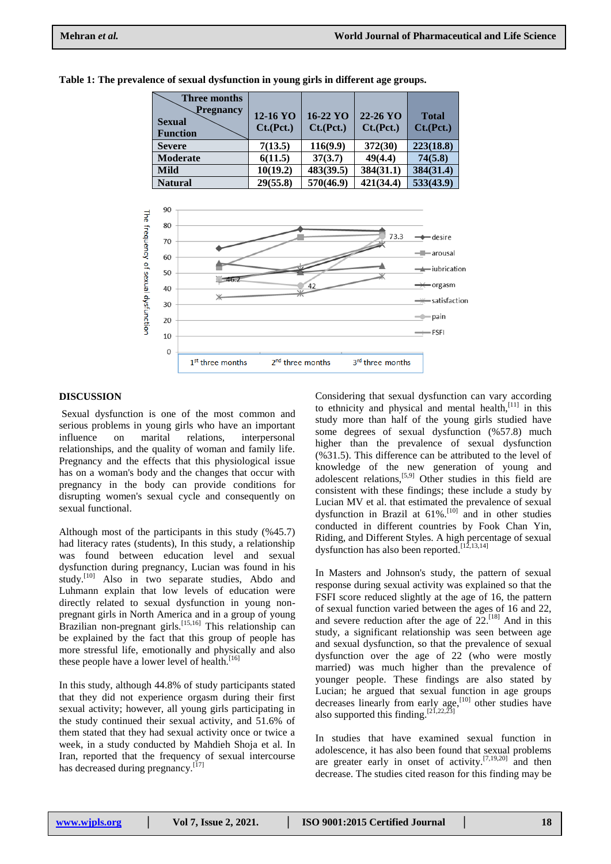| <b>Three months</b><br>Pregnancy<br><b>Sexual</b><br><b>Function</b> | 12-16 YO<br>Ct.(Pct.) | $16-22 \text{ YO}$<br>Ct.(Pct.) | $22 - 26$ YO<br>Ct.(Pct.) | <b>Total</b><br>Ct.(Pct.) |
|----------------------------------------------------------------------|-----------------------|---------------------------------|---------------------------|---------------------------|
| <b>Severe</b>                                                        | 7(13.5)               | 116(9.9)                        | 372(30)                   | 223(18.8)                 |
| <b>Moderate</b>                                                      | 6(11.5)               | 37(3.7)                         | 49(4.4)                   | 74(5.8)                   |
| <b>Mild</b>                                                          | 10(19.2)              | 483(39.5)                       | 384(31.1)                 | 384(31.4)                 |
| <b>Natural</b>                                                       | 29(55.8)              | 570(46.9)                       | 421(34.4)                 | 533(43.9)                 |

**Table 1: The prevalence of sexual dysfunction in young girls in different age groups.**



### **DISCUSSION**

Sexual dysfunction is one of the most common and serious problems in young girls who have an important influence on marital relations, interpersonal relationships, and the quality of woman and family life. Pregnancy and the effects that this physiological issue has on a woman's body and the changes that occur with pregnancy in the body can provide conditions for disrupting women's sexual cycle and consequently on sexual functional.

Although most of the participants in this study (%45.7) had literacy rates (students), In this study, a relationship was found between education level and sexual dysfunction during pregnancy, Lucian was found in his study.<sup>[10]</sup> Also in two separate studies, Abdo and Luhmann explain that low levels of education were directly related to sexual dysfunction in young nonpregnant girls in North America and in a group of young Brazilian non-pregnant girls.<sup>[15,16]</sup> This relationship can be explained by the fact that this group of people has more stressful life, emotionally and physically and also these people have a lower level of health.<sup>[16]</sup>

In this study, although 44.8% of study participants stated that they did not experience orgasm during their first sexual activity; however, all young girls participating in the study continued their sexual activity, and 51.6% of them stated that they had sexual activity once or twice a week, in a study conducted by Mahdieh Shoja et al. In Iran, reported that the frequency of sexual intercourse has decreased during pregnancy.<sup>[17]</sup>

Considering that sexual dysfunction can vary according to ethnicity and physical and mental health,[11] in this study more than half of the young girls studied have some degrees of sexual dysfunction (%57.8) much higher than the prevalence of sexual dysfunction (%31.5). This difference can be attributed to the level of knowledge of the new generation of young and adolescent relations,<sup>[5,9]</sup> Other studies in this field are consistent with these findings; these include a study by Lucian MV et al. that estimated the prevalence of sexual dysfunction in Brazil at  $61\%$ .<sup>[10]</sup> and in other studies conducted in different countries by Fook Chan Yin, Riding, and Different Styles. A high percentage of sexual dysfunction has also been reported.<sup>[12,13,14]</sup>

In Masters and Johnson's study, the pattern of sexual response during sexual activity was explained so that the FSFI score reduced slightly at the age of 16, the pattern of sexual function varied between the ages of 16 and 22, and severe reduction after the age of  $22$ <sup>[18]</sup>. And in this study, a significant relationship was seen between age and sexual dysfunction, so that the prevalence of sexual dysfunction over the age of 22 (who were mostly married) was much higher than the prevalence of younger people. These findings are also stated by Lucian; he argued that sexual function in age groups decreases linearly from early age,<sup>[10]</sup> other studies have also supported this finding.  $[21, 22, 23]$ 

In studies that have examined sexual function in adolescence, it has also been found that sexual problems are greater early in onset of activity.  $[7,19,20]$  and then decrease. The studies cited reason for this finding may be